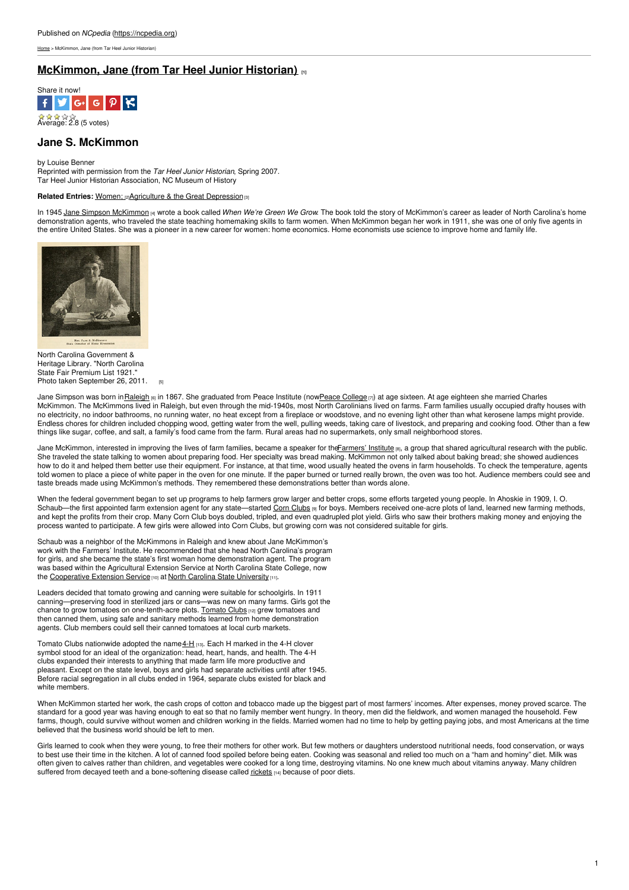[Home](https://ncpedia.org/) > McKimmon, Jane (from Tar Heel Junior Historian)

## **[McKimmon,](https://ncpedia.org/biography/mckimmon-jane) Jane (from Tar Heel Junior Historian) [1]**



# **Jane S. McKimmon**

#### by Louise Benner

Reprinted with permission from the *Tar Heel Junior Historian*, Spring 2007. Tar Heel Junior Historian Association, NC Museum of History

#### **Related Entries: Women: <b>@Agriculture & the Great [Depression](https://ncpedia.org/agriculture/great-depression)** of

In 1945 Jane Simpson [McKimmon](https://ncpedia.org/biography/mckimmon-jane-simpson) [4] wrote a book [called](http://www.social9.com) *When We're Green We Grow*. The book told the story of McKimmon's career as leader of North Carolina's home demonstration agents, who traveled the state teaching homemaking skills to farm women. When McKimmon began her work in 1911, she was one of only five agents in the entire United States. She was a pioneer in a new career for women: home economics. Home economists use science to improve home and family life.



North Carolina Government & Heritage Library. "North Carolina State Fair Premium List 1921." Photo taken [September](https://www.flickr.com/photos/statelibrarync/6186193178/) 26, 2011.

Jane Simpson was born in Raleigh [6] in 1867. She graduated from Peace Institute (nowPeace [College](http://www.peace.edu/) [7]) at age sixteen. At age eighteen she married Charles McKimmon. The McKimmons lived in Raleigh, but even through the mid-1940s, most North Carolinians lived on farms. Farm families usually occupied drafty houses with no electricity, no indoor bathrooms, no running water, no heat except from a fireplace or woodstove, and no evening light other than what kerosene lamps might provide. Endless chores for children included chopping wood, getting water from the well, pulling weeds, taking care of livestock, and preparing and cooking food. Other than a few things like sugar, coffee, and salt, a family's food came from the farm. Rural areas had no supermarkets, only small neighborhood stores.

Jane McKimmon, interested in improving the lives of farm families, became a speaker for the Farmers' Institute [8], a group that shared agricultural research with the public. She traveled the state talking to women about preparing food. Her specialty was bread making. McKimmon not only talked about baking bread; she showed audiences how to do it and helped them better use their equipment. For instance, at that time, wood usually heated the ovens in farm households. To check the temperature, agents told women to place a piece of white paper in the oven for one minute. If the paper burned or turned really brown, the oven was too hot. Audience members could see and taste breads made using McKimmon's methods. They remembered these demonstrations better than words alone.

When the federal government began to set up programs to help farmers grow larger and better crops, some efforts targeted young people. In Ahoskie in 1909, I. O. Schaub—the first appointed farm extension agent for any state—started Corn [Clubs](http://www.lib.ncsu.edu/specialcollections/greenngrowing/essay_early_ag_clubs.html) [9] for boys. Members received one-acre plots of land, learned new farming methods, and kept the profits from their crop. Many Corn Club boys doubled, tripled, and even quadrupled plot yield. Girls who saw their brothers making money and enjoying the and enjoying the process wanted to participate. A few girls were allowed into Corn Clubs, but growing corn was not considered suitable for girls.

Schaub was a neighbor of the McKimmons in Raleigh and knew about Jane McKimmon's work with the Farmers' Institute. He recommended that she head North Carolina's program for girls, and she became the state's first woman home demonstration agent. The program was based within the Agricultural Extension Service at North Carolina State College, now the [Cooperative](http://www.ces.ncsu.edu/) Extension Service [10] at North Carolina State [University](https://www.ncsu.edu/) [11].

Leaders decided that tomato growing and canning were suitable for schoolgirls. In 1911 canning—preserving food in sterilized jars or cans—was new on many farms. Girls got the chance to grow tomatoes on one-tenth-acre plots. [Tomato](https://ncpedia.org/tomato-clubs) Clubs [12] grew tomatoes and then canned them, using safe and sanitary methods learned from home demonstration agents. Club members could sell their canned tomatoes at local curb markets.

Tomato Clubs nationwide adopted the name  $4-H$  [13]. Each H marked in the 4-H clover symbol stood for an ideal of the organization: head, heart, hands, and health. The 4-H clubs expanded their interests to anything that made farm life more productive and pleasant. Except on the state level, boys and girls had separate activities until after 1945. Before racial segregation in all clubs ended in 1964, separate clubs existed for black and white members

When McKimmon started her work, the cash crops of cotton and tobacco made up the biggest part of most farmers' incomes. After expenses, money proved scarce. The standard for a good year was having enough to eat so that no family member went hungry. In theory, men did the fieldwork, and women managed the household. Few farms, though, could survive without women and children working in the fields. Married women had no time to help by getting paying jobs, and most Americans at the time believed that the business world should be left to men.

Girls learned to cook when they were young, to free their mothers for other work. But few mothers or daughters understood nutritional needs, food conservation, or ways to best use their time in the kitchen. A lot of canned food spoiled before being eaten. Cooking was seasonal and relied too much on a "ham and hominy" diet. Milk was often given to calves rather than children, and vegetables were cooked for a long time, destroying vitamins. No one knew much about vitamins anyway. Many children suffered from decayed teeth and a bone-softening disease called [rickets](http://www.nlm.nih.gov/medlineplus/ency/article/000344.htm) [14] because of poor diets.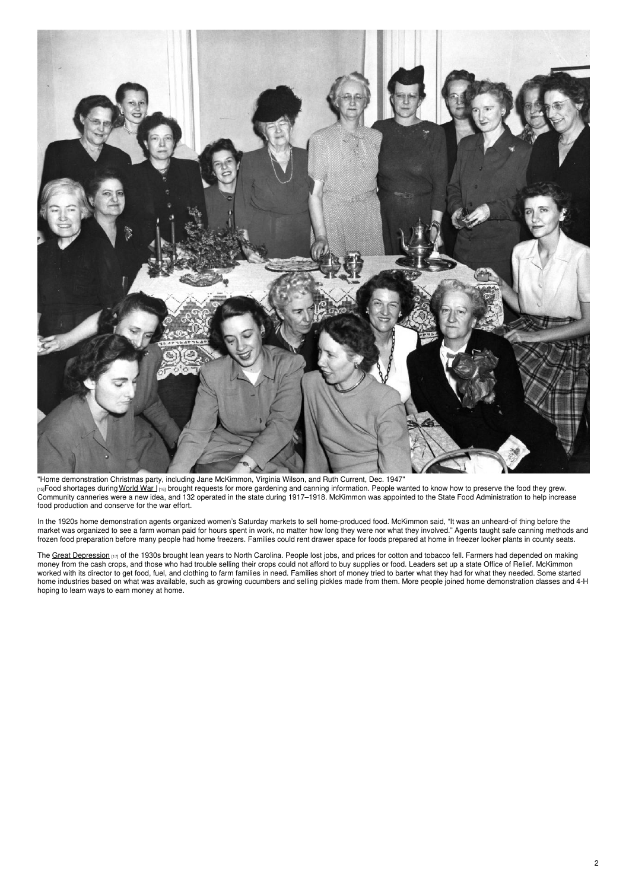

"Home [demonstration](https://d.lib.ncsu.edu/collections/catalog/0000486) Christmas party, including Jane McKimmon, Virginia Wilson, and Ruth Current, Dec. 1947" [15]Food shortages during [World](http://www.learnnc.org/lp/editions/nchist-newcentury/3.0) War I [16] brought requests for more gardening and canning information. People wanted to know how to preserve the food they grew. Community canneries were a new idea, and 132 operated in the state during 1917–1918. McKimmon was appointed to the State Food Administration to help increase food production and conserve for the war effort.

In the 1920s home demonstration agents organized women's Saturday markets to sell home-produced food. McKimmon said, "It was an unheard-of thing before the market was organized to see a farm woman paid for hours spent in work, no matter how long they were nor what they involved." Agents taught safe canning methods and frozen food preparation before many people had home freezers. Families could rent drawer space for foods prepared at home in freezer locker plants in county seats.

The Great [Depression](https://ncpedia.org/history/20th-Century/great-depression) [17] of the 1930s brought lean years to North Carolina. People lost jobs, and prices for cotton and tobacco fell. Farmers had depended on making money from the cash crops, and those who had trouble selling their crops could not afford to buy supplies or food. Leaders set up a state Office of Relief. McKimmon worked with its director to get food, fuel, and clothing to farm families in need. Families short of money tried to barter what they had for what they needed. Some started home industries based on what was available, such as growing cucumbers and selling pickles made from them. More people joined home demonstration classes and 4-H hoping to learn ways to earn money at home.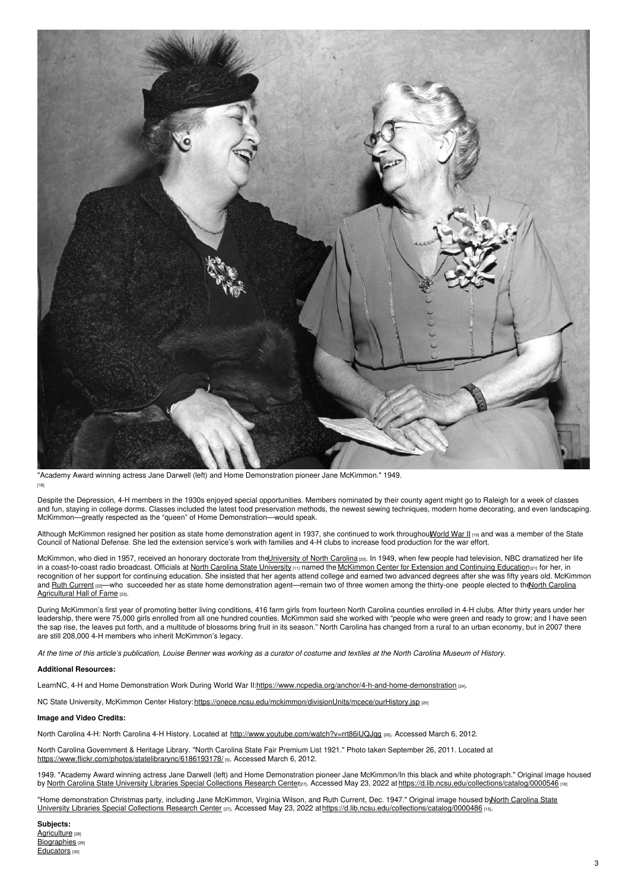

"Academy Award winning actress Jane Darwell (left) and Home [Demonstration](https://d.lib.ncsu.edu/collections/catalog/0000546) pioneer Jane McKimmon." 1949. [18]

Despite the Depression, 4-H members in the 1930s enjoyed special opportunities. Members nominated by their county agent might go to Raleigh for a week of classes and fun, staying in college dorms. Classes included the latest food preservation methods, the newest sewing techniques, modern home decorating, and even landscaping. McKimmon—greatly respected as the "queen" of Home Demonstration—would speak.

Although McKimmon resigned her position as state home demonstration agent in 1937, she continued to work throughout World War II [19] and was a member of the State Council of National Defense. She led the extension service's work with families and 4-H clubs to increase food production for the war effort.

McKimmon, who died in 1957, received an honorary doctorate from the<u>University of North Carolina pap</u>. In 1949, when few people had television, NBC dramatized her life in a coast-to-coast radio broadcast. Officials at <u>North Carolina State [University](https://www.ncsu.edu/) ma</u>nned the <u>[McKimmon](http://www.mckimmon.ncsu.edu/index.html) Center for Extension and Continuing Education and in</u> for her, in recognition of her support for continuing education. She insisted that her agents attend college and earned two advanced degrees after she was fifty years old. McKimmon and Ruth [Current](http://www.ncagr.gov/paffairs/aghall/current.htm)  $|z|$ —who succeeded her as state home demonstration [agent—remain](http://www.ncagr.gov/paffairs/aghall/mckimmon.htm) two of three women among the thirty-one people elected to the North Carolina Agricultural Hall of Fame [23].

During McKimmon's first year of promoting better living conditions, 416 farm girls from fourteen North Carolina counties enrolled in 4-H clubs. After thirty years under her leadership, there were 75,000 girls enrolled from all one hundred counties. McKimmon said she worked with "people who were green and ready to grow; and I have seen the sap rise, the leaves put forth, and a multitude of blossoms bring fruit in its season." North Carolina has changed from a rural to an urban economy, but in 2007 there are still 208,000 4-H members who inherit McKimmon's legacy.

At the time of this article's publication, Louise Benner was working as a curator of costume and textiles at the North Carolina Museum of History.

### **Additional Resources:**

LearnNC, 4-H and Home Demonstration Work During World War II[:https://www.ncpedia.org/anchor/4-h-and-home-demonstration](https://www.ncpedia.org/anchor/4-h-and-home-demonstration) [24].

NC State University, McKimmon Center History: <https://onece.ncsu.edu/mckimmon/divisionUnits/mcece/ourHistory.jsp> [25]

### **Image and Video Credits:**

North Carolina 4-H: North Carolina 4-H History. Located at http://www.youtube.com/watch?v=rrt86iUQJqq [26]. Accessed March 6, 2012.

North Carolina Government & Heritage Library. "North Carolina State Fair Premium List 1921." Photo taken September 26, 2011. Located at <https://www.flickr.com/photos/statelibrarync/6186193178/> [5]. Accessed March 6, 2012.

1949. "Academy Award winning actress Jane Darwell (left) and Home Demonstration pioneer Jane McKimmon/In this black and white photograph." Original image housed by North Carolina State University Libraries Special [Collections](http://www.lib.ncsu.edu/specialcollections/research) Research Center<sub>a71</sub>. Accessed May 23, 2022 at <https://d.lib.ncsu.edu/collections/catalog/0000546> [18]

"Home demonstration Christmas party, including Jane McKimmon, Virginia Wilson, and Ruth Current, Dec. 1947." Original image housed byNorth Carolina State University Libraries Special Collections Research Center [27]. Accessed May 23, 2022 [athttps://d.lib.ncsu.edu/collections/catalog/0000486](http://www.lib.ncsu.edu/specialcollections/research) [15].

**Subjects:** [Agriculture](https://ncpedia.org/category/subjects/agriculture) [28] [Biographies](https://ncpedia.org/category/subjects/biography-term) [29] [Educators](https://ncpedia.org/category/subjects/educators) [30]